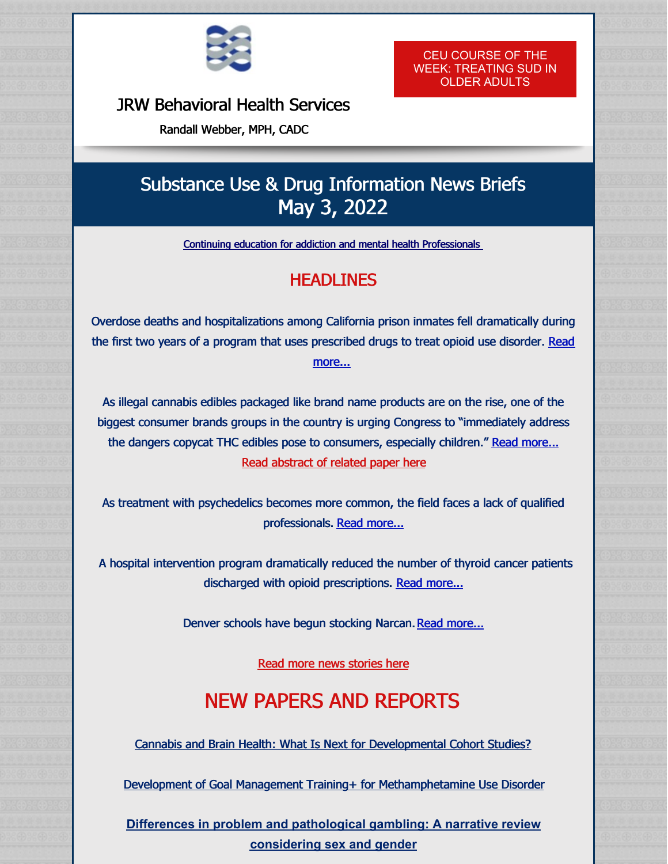

#### JRW [Behavioral](http://www.randallwebber.com/) Health Services

Randall Webber, MPH, CADC

CEU COURSE OF THE WEEK: [TREATING](https://shop.randallwebber.com/Treating-Substance-Use-Disorders-in-Older-Adults-OA2020.htm) SUD IN OLDER ADULTS

## Substance Use & Drug Information News Briefs May 3, 2022

Continuing education for addiction and mental health [Professionals](https://shop.randallwebber.com/main.sc)

### **HEADLINES**

Overdose deaths and hospitalizations among California prison inmates fell dramatically during the first two years of a program that uses [prescribed](https://apnews.com/article/covid-health-prisons-california-gavin-newsom-cd5488a58681a16394c0acb5ce62a5dc?utm_source=STAT+Newsletters&utm_campaign=77f4da1267-MR_COPY_01&utm_medium=email&utm_term=0_8cab1d7961-77f4da1267-150325937) drugs to treat opioid use disorder. Read more...

As illegal cannabis edibles packaged like brand name products are on the rise, one of the biggest consumer brands groups in the country is urging Congress to "immediately address the dangers copycat THC edibles pose to consumers, especially children." Read [more...](https://cannabiswire.com/2022/04/27/kellogg-pepsico-general-mills-call-on-congress-to-act-on-copycat-cannabis-edibles/) Read [abstract](https://www.sciencedirect.com/science/article/abs/pii/S0376871622001466) of related paper here

As treatment with psychedelics becomes more common, the field faces a lack of qualified professionals. Read [more...](https://www.businessinsider.com/psychedelics-psychiatrist-training-program-johns-hopkins-nyu-yale-university-2022-3)

A hospital intervention program dramatically reduced the number of thyroid cancer patients discharged with opioid prescriptions. Read [more...](https://www.medpagetoday.com/meetingcoverage/ahns/98472?xid=nl_mpt_DHE_2022-04-29&eun=g1328059d0r&utm_source=Sailthru&utm_medium=email&utm_campaign=Daily Headlines Evening 2022-04-29&utm_term=NL_Daily_DHE_dual-gmail-definition)

Denver schools have begun stocking Narcan. Read [more...](https://kdvr.com/news/local/denver-public-schools-narcan-fentanyl-overdose-minors/)

Read more news [stories](http://www.randallwebber.com/resources.html) here

# NEW PAPERS AND REPORTS

Cannabis and Brain Health: What Is Next for [Developmental](https://ajp.psychiatryonline.org/doi/10.1176/appi.ajp.20220245) Cohort Studies?

Development of Goal Management Training+ for [Methamphetamine](https://www.frontiersin.org/articles/10.3389/fpsyt.2022.876018/full) Use Disorder

**Differences in problem and [pathological](https://akjournals.com/view/journals/2006/aop/article-10.1556-2006.2022.00019/article-10.1556-2006.2022.00019.xml) gambling: A narrative review considering sex and gender**